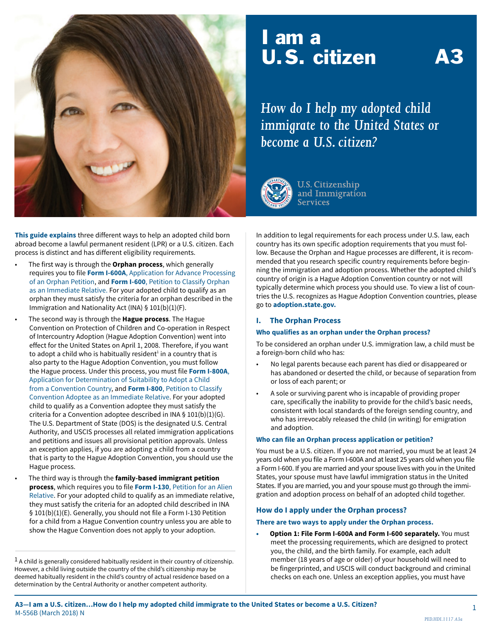

# I am a **U.S. citizen**

*How do I help my adopted child immigrate to the United States or become a U.S. citizen?*



**U.S. Citizenship** and Immigration **Services** 

**This guide explains** three different ways to help an adopted child born abroad become a lawful permanent resident (LPR) or a U.S. citizen. Each process is distinct and has different eligibility requirements.

- The first way is through the **Orphan process**, which generally requires you to file **Form I-600A**[, Application for Advance Processing](http://www.uscis.gov/i-600)  [of an Orphan Petition,](http://www.uscis.gov/i-600) and **Form I-600**[, Petition to Classify Orphan](http://www.uscis.gov/i-600)  [as an Immediate Relative. F](http://www.uscis.gov/i-600)or your adopted child to qualify as an orphan they must satisfy the criteria for an orphan described in the Immigration and Nationality Act (INA) § 101(b)(1)(F).
- The second way is through the **Hague process**. The Hague Convention on Protection of Children and Co-operation in Respect of Intercountry Adoption (Hague Adoption Convention) went into effect for the United States on April 1, 2008. Therefore, if you want to adopt a child who is habitually resident $^1$  in a country that is also party to the Hague Adoption Convention, you must follow the Hague process. Under this process, you must file **[Form I-800A](http://uscis.gov/i-800a)**, [Application for Determination of Suitability to Adopt a Child](http://uscis.gov/i-800a)  [from a Convention Country,](http://uscis.gov/i-800a) and **Form I-800**[, Petition to Classify](http://uscis.gov/i-800)  [Convention Adoptee as an Immediate Relative.](http://uscis.gov/i-800) For your adopted child to qualify as a Convention adoptee they must satisfy the criteria for a Convention adoptee described in INA § 101(b)(1)(G). The U.S. Department of State (DOS) is the designated U.S. Central Authority, and USCIS processes all related immigration applications and petitions and issues all provisional petition approvals. Unless an exception applies, if you are adopting a child from a country that is party to the Hague Adoption Convention, you should use the Hague process.
	- The third way is through the **family-based immigrant petition process**, which requires you to file **Form I-130**[, Petition for an Alien](http://www.uscis.gov/i-130)  [Relative.](http://www.uscis.gov/i-130) For your adopted child to qualify as an immediate relative, they must satisfy the criteria for an adopted child described in INA § 101(b)(1)(E). Generally, you should not file a Form I-130 Petition for a child from a Hague Convention country unless you are able to show the Hague Convention does not apply to your adoption.

 $<sup>1</sup>$  A child is generally considered habitually resident in their country of citizenship.</sup> However, a child living outside the country of the child's citizenship may be deemed habitually resident in the child's country of actual residence based on a determination by the Central Authority or another competent authority.

In addition to legal requirements for each process under U.S. law, each country has its own specific adoption requirements that you must follow. Because the Orphan and Hague processes are different, it is recommended that you research specific country requirements before beginning the immigration and adoption process. Whether the adopted child's country of origin is a Hague Adoption Convention country or not will typically determine which process you should use. To view a list of countries the U.S. recognizes as Hague Adoption Convention countries, please go to **[adoption.state.gov.](http://adoption.state.gov.)**

#### **I. The Orphan Process**

#### **Who qualifies as an orphan under the Orphan process?**

To be considered an orphan under U.S. immigration law, a child must be a foreign-born child who has:

- No legal parents because each parent has died or disappeared or has abandoned or deserted the child, or because of separation from or loss of each parent; or
- A sole or surviving parent who is incapable of providing proper care, specifically the inability to provide for the child's basic needs, consistent with local standards of the foreign sending country, and who has irrevocably released the child (in writing) for emigration and adoption.

#### **Who can file an Orphan process application or petition?**

You must be a U.S. citizen. If you are not married, you must be at least 24 years old when you file a Form I-600A and at least 25 years old when you file a Form I-600. If you are married and your spouse lives with you in the United States, your spouse must have lawful immigration status in the United States. If you are married, you and your spouse must go through the immigration and adoption process on behalf of an adopted child together.

#### **How do I apply under the Orphan process?**

#### **There are two ways to apply under the Orphan process.**

**• Option 1: File Form I-600A and Form I-600 separately.** You must meet the processing requirements, which are designed to protect you, the child, and the birth family. For example, each adult member (18 years of age or older) of your household will need to be fingerprinted, and USCIS will conduct background and criminal checks on each one. Unless an exception applies, you must have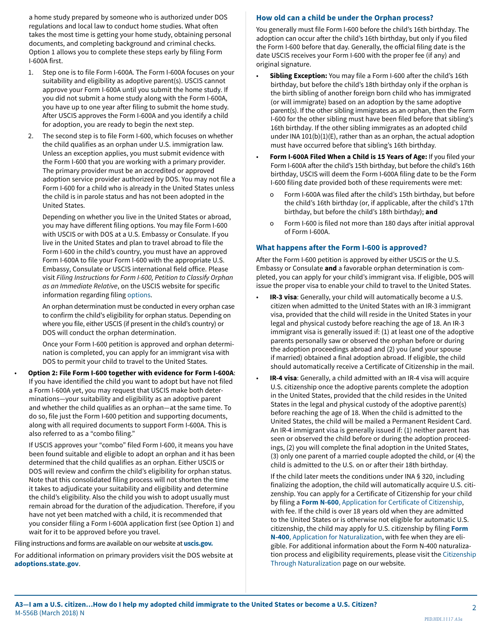a home study prepared by someone who is authorized under DOS regulations and local law to conduct home studies. What often takes the most time is getting your home study, obtaining personal documents, and completing background and criminal checks. Option 1 allows you to complete these steps early by filing Form I-600A first.

- 1. Step one is to file Form I-600A. The Form I-600A focuses on your suitability and eligibility as adoptive parent(s). USCIS cannot approve your Form I-600A until you submit the home study. If you did not submit a home study along with the Form I-600A, you have up to one year after filing to submit the home study. After USCIS approves the Form I-600A and you identify a child for adoption, you are ready to begin the next step.
- 2. The second step is to file Form I-600, which focuses on whether the child qualifies as an orphan under U.S. immigration law. Unless an exception applies, you must submit evidence with the Form I-600 that you are working with a primary provider. The primary provider must be an accredited or approved adoption service provider authorized by DOS. You may not file a Form I-600 for a child who is already in the United States unless the child is in parole status and has not been adopted in the United States.

Depending on whether you live in the United States or abroad, you may have different filing options. You may file Form I-600 with USCIS or with DOS at a U.S. Embassy or Consulate. If you live in the United States and plan to travel abroad to file the Form I-600 in the child's country, you must have an approved Form I-600A to file your Form I-600 with the appropriate U.S. Embassy, Consulate or USCIS international field office. Please visit *Filing Instructions for Form I-600, Petition to Classify Orphan as an Immediate Relative*, on the USCIS website for specific information regarding filing [options](http://www.uscis.gov/forms/filing-instructions-form-i-600-petition-classify-orphan-immediate-relative).

An orphan determination must be conducted in every orphan case to confirm the child's eligibility for orphan status. Depending on where you file, either USCIS (if present in the child's country) or DOS will conduct the orphan determination.

Once your Form I-600 petition is approved and orphan determination is completed, you can apply for an immigrant visa with DOS to permit your child to travel to the United States.

• **Option 2: File Form I-600 together with evidence for Form I-600A**: If you have identified the child you want to adopt but have not filed a Form I-600A yet, you may request that USCIS make both determinations—your suitability and eligibility as an adoptive parent and whether the child qualifies as an orphan—at the same time. To do so, file just the Form I-600 petition and supporting documents, along with all required documents to support Form I-600A. This is also referred to as a "combo filing."

If USCIS approves your "combo" filed Form I-600, it means you have been found suitable and eligible to adopt an orphan and it has been determined that the child qualifies as an orphan. Either USCIS or DOS will review and confirm the child's eligibility for orphan status. Note that this consolidated filing process will not shorten the time it takes to adjudicate your suitability and eligibility and determine the child's eligibility. Also the child you wish to adopt usually must remain abroad for the duration of the adjudication. Therefore, if you have not yet been matched with a child, it is recommended that you consider filing a Form I-600A application first (see Option 1) and wait for it to be approved before you travel.

Filing instructions and forms are available on our website at **[uscis.gov.](http://www.uscis.gov)**

For additional information on primary providers visit the DOS website at **[adoptions.state.gov](http://www.adoptions.state.gov)**.

#### **How old can a child be under the Orphan process?**

You generally must file Form I-600 before the child's 16th birthday. The adoption can occur after the child's 16th birthday, but only if you filed the Form I-600 before that day. Generally, the official filing date is the date USCIS receives your Form I-600 with the proper fee (if any) and original signature.

- **Sibling Exception:** You may file a Form I-600 after the child's 16th birthday, but before the child's 18th birthday only if the orphan is the birth sibling of another foreign born child who has immigrated (or will immigrate) based on an adoption by the same adoptive parent(s). If the other sibling immigrates as an orphan, then the Form I-600 for the other sibling must have been filed before that sibling's 16th birthday. If the other sibling immigrates as an adopted child under INA 101(b)(1)(E), rather than as an orphan, the actual adoption must have occurred before that sibling's 16th birthday.
- **Form I-600A Filed When a Child is 15 Years of Age:** If you filed your Form I-600A after the child's 15th birthday, but before the child's 16th birthday, USCIS will deem the Form I-600A filing date to be the Form I-600 filing date provided both of these requirements were met:
	- Form I-600A was filed after the child's 15th birthday, but before the child's 16th birthday (or, if applicable, after the child's 17th birthday, but before the child's 18th birthday); **and**
	- o Form I-600 is filed not more than 180 days after initial approval of Form I-600A.

### **What happens after the Form I-600 is approved?**

After the Form I-600 petition is approved by either USCIS or the U.S. Embassy or Consulate **and** a favorable orphan determination is completed, you can apply for your child's immigrant visa. If eligible, DOS will issue the proper visa to enable your child to travel to the United States.

- **IR-3 visa**: Generally, your child will automatically become a U.S. citizen when admitted to the United States with an IR-3 immigrant visa, provided that the child will reside in the United States in your legal and physical custody before reaching the age of 18. An IR-3 immigrant visa is generally issued if: (1) at least one of the adoptive parents personally saw or observed the orphan before or during the adoption proceedings abroad and (2) you (and your spouse if married) obtained a final adoption abroad. If eligible, the child should automatically receive a Certificate of Citizenship in the mail.
- **IR-4 visa**: Generally, a child admitted with an IR-4 visa will acquire U.S. citizenship once the adoptive parents complete the adoption in the United States, provided that the child resides in the United States in the legal and physical custody of the adoptive parent(s) before reaching the age of 18. When the child is admitted to the United States, the child will be mailed a Permanent Resident Card. An IR-4 immigrant visa is generally issued if: (1) neither parent has seen or observed the child before or during the adoption proceedings, (2) you will complete the final adoption in the United States, (3) only one parent of a married couple adopted the child, or (4) the child is admitted to the U.S. on or after their 18th birthday.

If the child later meets the conditions under INA § 320, including finalizing the adoption, the child will automatically acquire U.S. citizenship. You can apply for a Certificate of Citizenship for your child by filing a **Form N-600**[, Application for Certificate of Citizenship](http://www.uscis.gov/n-600), with fee. If the child is over 18 years old when they are admitted to the United States or is otherwise not eligible for automatic U.S. citizenship, the child may apply for U.S. citizenship by filing **[Form](http://www.uscis.gov/n-400)  N-400**[, Application for Naturalization,](http://www.uscis.gov/n-400) with fee when they are eligible. For additional information about the Form N-400 naturalization process and eligibility requirements, please visit the [Citizenship](http://www.uscis.gov/us-citizenship/citizenship-through-naturalization)  [Through Naturalization](http://www.uscis.gov/us-citizenship/citizenship-through-naturalization) page on our website.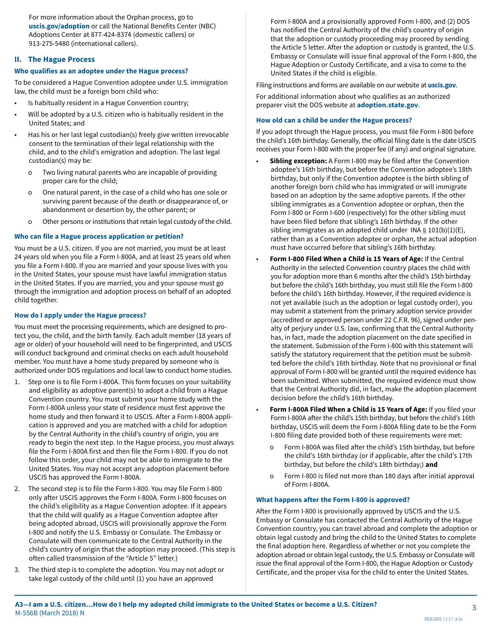For more information about the Orphan process, go to **[uscis.gov/adoption](http://www.uscis.gov/adoption)** or call the National Benefits Center (NBC) Adoptions Center at 877-424-8374 (domestic callers) or 913-275-5480 (international callers).

#### **II. The Hague Process**

#### **Who qualifies as an adoptee under the Hague process?**

To be considered a Hague Convention adoptee under U.S. immigration law, the child must be a foreign born child who:

- Is habitually resident in a Hague Convention country;
- Will be adopted by a U.S. citizen who is habitually resident in the United States; and
- Has his or her last legal custodian(s) freely give written irrevocable consent to the termination of their legal relationship with the child, and to the child's emigration and adoption. The last legal custodian(s) may be:
	- o Two living natural parents who are incapable of providing proper care for the child;
	- o One natural parent, in the case of a child who has one sole or surviving parent because of the death or disappearance of, or abandonment or desertion by, the other parent; or
	- o Other persons or institutions that retain legal custody of the child.

#### **Who can file a Hague process application or petition?**

You must be a U.S. citizen. If you are not married, you must be at least 24 years old when you file a Form I-800A, and at least 25 years old when you file a Form I-800. If you are married and your spouse lives with you in the United States, your spouse must have lawful immigration status in the United States. If you are married, you and your spouse must go through the immigration and adoption process on behalf of an adopted child together.

#### **How do I apply under the Hague process?**

You must meet the processing requirements, which are designed to protect you, the child, and the birth family. Each adult member (18 years of age or older) of your household will need to be fingerprinted, and USCIS will conduct background and criminal checks on each adult household member. You must have a home study prepared by someone who is authorized under DOS regulations and local law to conduct home studies.

- 1. Step one is to file Form I-800A. This form focuses on your suitability and eligibility as adoptive parent(s) to adopt a child from a Hague Convention country. You must submit your home study with the Form I-800A unless your state of residence must first approve the home study and then forward it to USCIS. After a Form I-800A application is approved and you are matched with a child for adoption by the Central Authority in the child's country of origin, you are ready to begin the next step. In the Hague process, you must always file the Form I-800A first and then file the Form I-800. If you do not follow this order, your child may not be able to immigrate to the United States. You may not accept any adoption placement before USCIS has approved the Form I-800A.
- 2. The second step is to file the Form I-800. You may file Form I-800 only after USCIS approves the Form I-800A. Form I-800 focuses on the child's eligibility as a Hague Convention adoptee. If it appears that the child will qualify as a Hague Convention adoptee after being adopted abroad, USCIS will provisionally approve the Form I-800 and notify the U.S. Embassy or Consulate. The Embassy or Consulate will then communicate to the Central Authority in the child's country of origin that the adoption may proceed. (This step is often called transmission of the "Article 5" letter.)
- 3. The third step is to complete the adoption. You may not adopt or take legal custody of the child until (1) you have an approved

Form I-800A and a provisionally approved Form I-800, and (2) DOS has notified the Central Authority of the child's country of origin that the adoption or custody proceeding may proceed by sending the Article 5 letter. After the adoption or custody is granted, the U.S. Embassy or Consulate will issue final approval of the Form I-800, the Hague Adoption or Custody Certificate, and a visa to come to the United States if the child is eligible.

Filing instructions and forms are available on our website at **[uscis.gov](http://www.uscis.gov)**.

For additional information about who qualifies as an authorized preparer visit the DOS website at **[adoption.state.gov](http://www.adoption.state.gov)**.

#### **How old can a child be under the Hague process?**

If you adopt through the Hague process, you must file Form I-800 before the child's 16th birthday. Generally, the official filing date is the date USCIS receives your Form I-800 with the proper fee (if any) and original signature.

- **Sibling exception:** A Form I-800 may be filed after the Convention adoptee's 16th birthday, but before the Convention adoptee's 18th birthday, but only if the Convention adoptee is the birth sibling of another foreign born child who has immigrated or will immigrate based on an adoption by the same adoptive parents. If the other sibling immigrates as a Convention adoptee or orphan, then the Form I-800 or Form I-600 (respectively) for the other sibling must have been filed before that sibling's 16th birthday. If the other sibling immigrates as an adopted child under INA  $\S$  101(b)(1)(E), rather than as a Convention adoptee or orphan, the actual adoption must have occurred before that sibling's 16th birthday.
- **Form I-800 Filed When a Child is 15 Years of Age:** If the Central Authority in the selected Convention country places the child with you for adoption more than 6 months after the child's 15th birthday but before the child's 16th birthday, you must still file the Form I-800 before the child's 16th birthday. However, if the required evidence is not yet available (such as the adoption or legal custody order), you may submit a statement from the primary adoption service provider (accredited or approved person under 22 C.F.R. 96), signed under penalty of perjury under U.S. law, confirming that the Central Authority has, in fact, made the adoption placement on the date specified in the statement. Submission of the Form I-800 with this statement will satisfy the statutory requirement that the petition must be submitted before the child's 16th birthday. Note that no provisional or final approval of Form I-800 will be granted until the required evidence has been submitted. When submitted, the required evidence must show that the Central Authority did, in fact, make the adoption placement decision before the child's 16th birthday.
- **Form I-800A Filed When a Child is 15 Years of Age:** If you filed your Form I-800A after the child's 15th birthday, but before the child's 16th birthday, USCIS will deem the Form I-800A filing date to be the Form I-800 filing date provided both of these requirements were met:
	- Form I-800A was filed after the child's 15th birthday, but before the child's 16th birthday (or if applicable, after the child's 17th birthday, but before the child's 18th birthday;) **and**
	- o Form I-800 is filed not more than 180 days after initial approval of Form I-800A.

#### **What happens after the Form I-800 is approved?**

After the Form I-800 is provisionally approved by USCIS and the U.S. Embassy or Consulate has contacted the Central Authority of the Hague Convention country, you can travel abroad and complete the adoption or obtain legal custody and bring the child to the United States to complete the final adoption here. Regardless of whether or not you complete the adoption abroad or obtain legal custody, the U.S. Embassy or Consulate will issue the final approval of the Form I-800, the Hague Adoption or Custody Certificate, and the proper visa for the child to enter the United States.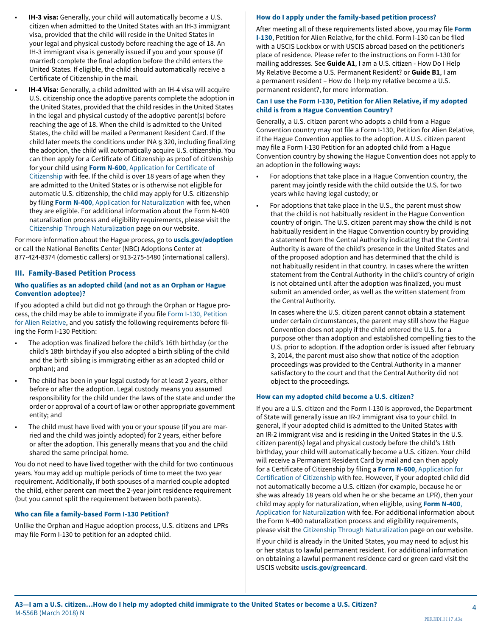- **IH-3 visa:** Generally, your child will automatically become a U.S. citizen when admitted to the United States with an IH-3 immigrant visa, provided that the child will reside in the United States in your legal and physical custody before reaching the age of 18. An IH-3 immigrant visa is generally issued if you and your spouse (if married) complete the final adoption before the child enters the United States. If eligible, the child should automatically receive a Certificate of Citizenship in the mail.
- **IH-4 Visa:** Generally, a child admitted with an IH-4 visa will acquire U.S. citizenship once the adoptive parents complete the adoption in the United States, provided that the child resides in the United States in the legal and physical custody of the adoptive parent(s) before reaching the age of 18. When the child is admitted to the United States, the child will be mailed a Permanent Resident Card. If the child later meets the conditions under INA § 320, including finalizing the adoption, the child will automatically acquire U.S. citizenship. You can then apply for a Certificate of Citizenship as proof of citizenship for your child using **Form N-600**[, Application for Certificate of](http://www.uscis.gov/n-600)  [Citizenship](http://www.uscis.gov/n-600) with fee. If the child is over 18 years of age when they are admitted to the United States or is otherwise not eligible for automatic U.S. citizenship, the child may apply for U.S. citizenship by filing **Form N-400**[, Application for Naturalization](http://www.uscis.gov/n-400) with fee, when they are eligible. For additional information about the Form N-400 naturalization process and eligibility requirements, please visit the [Citizenship Through Naturalization](http://www.uscis.gov/us-citizenship/citizenship-through-naturalization) page on our website.

For more information about the Hague process, go to **[uscis.gov/adoption](http://www.uscis.gov/adoption)** or call the National Benefits Center (NBC) Adoptions Center at 877-424-8374 (domestic callers) or 913-275-5480 (international callers).

#### **III. Family-Based Petition Process**

#### **Who qualifies as an adopted child (and not as an Orphan or Hague Convention adoptee)?**

If you adopted a child but did not go through the Orphan or Hague process, the child may be able to immigrate if you file [Form I-130, Petition](http://www.uscis.gov/i-130)  [for Alien Relative](http://www.uscis.gov/i-130), and you satisfy the following requirements before filing the Form I-130 Petition:

- The adoption was finalized before the child's 16th birthday (or the child's 18th birthday if you also adopted a birth sibling of the child and the birth sibling is immigrating either as an adopted child or orphan); and
- The child has been in your legal custody for at least 2 years, either before or after the adoption. Legal custody means you assumed responsibility for the child under the laws of the state and under the order or approval of a court of law or other appropriate government entity; and
- The child must have lived with you or your spouse (if you are married and the child was jointly adopted) for 2 years, either before or after the adoption. This generally means that you and the child shared the same principal home.

You do not need to have lived together with the child for two continuous years. You may add up multiple periods of time to meet the two year requirement. Additionally, if both spouses of a married couple adopted the child, either parent can meet the 2-year joint residence requirement (but you cannot split the requirement between both parents).

#### **Who can file a family-based Form I-130 Petition?**

Unlike the Orphan and Hague adoption process, U.S. citizens and LPRs may file Form I-130 to petition for an adopted child.

#### **How do I apply under the family-based petition process?**

After meeting all of these requirements listed above, you may file **Form I-130**, Petition for Alien Relative, for the child. Form I-130 can be filed with a USCIS Lockbox or with USCIS abroad based on the petitioner's place of residence. Please refer to the instructions on Form I-130 for mailing addresses. See **Guide A1**, I am a U.S. citizen - How Do I Help My Relative Become a U.S. Permanent Resident? or **Guide B1**, I am a permanent resident – How do I help my relative become a U.S. permanent resident?, for more information.

#### **Can I use the Form I-130, Petition for Alien Relative, if my adopted child is from a Hague Convention Country?**

Generally, a U.S. citizen parent who adopts a child from a Hague Convention country may not file a Form I-130, Petition for Alien Relative, if the Hague Convention applies to the adoption. A U.S. citizen parent may file a Form I-130 Petition for an adopted child from a Hague Convention country by showing the Hague Convention does not apply to an adoption in the following ways:

- For adoptions that take place in a Hague Convention country, the parent may jointly reside with the child outside the U.S. for two years while having legal custody; or
- For adoptions that take place in the U.S., the parent must show that the child is not habitually resident in the Hague Convention country of origin. The U.S. citizen parent may show the child is not habitually resident in the Hague Convention country by providing a statement from the Central Authority indicating that the Central Authority is aware of the child's presence in the United States and of the proposed adoption and has determined that the child is not habitually resident in that country. In cases where the written statement from the Central Authority in the child's country of origin is not obtained until after the adoption was finalized, you must submit an amended order, as well as the written statement from the Central Authority.

In cases where the U.S. citizen parent cannot obtain a statement under certain circumstances, the parent may still show the Hague Convention does not apply if the child entered the U.S. for a purpose other than adoption and established compelling ties to the U.S. prior to adoption. If the adoption order is issued after February 3, 2014, the parent must also show that notice of the adoption proceedings was provided to the Central Authority in a manner satisfactory to the court and that the Central Authority did not object to the proceedings.

#### **How can my adopted child become a U.S. citizen?**

If you are a U.S. citizen and the Form I-130 is approved, the Department of State will generally issue an IR-2 immigrant visa to your child. In general, if your adopted child is admitted to the United States with an IR-2 immigrant visa and is residing in the United States in the U.S. citizen parent(s) legal and physical custody before the child's 18th birthday, your child will automatically become a U.S. citizen. Your child will receive a Permanent Resident Card by mail and can then apply for a Certificate of Citizenship by filing a **Form N-600**[, Application for](http://www.uscis.gov/n-600)  [Certification of Citizenship](http://www.uscis.gov/n-600) with fee. However, if your adopted child did not automatically become a U.S. citizen (for example, because he or she was already 18 years old when he or she became an LPR), then your child may apply for naturalization, when eligible, using **[Form N-400](http://www.uscis.gov/n-400)**, [Application for Naturalization](http://www.uscis.gov/n-400) with fee. For additional information about the Form N-400 naturalization process and eligibility requirements, please visit the [Citizenship Through Naturalization](http://www.uscis.gov/us-citizenship/citizenship-through-naturalization) page on our website.

If your child is already in the United States, you may need to adjust his or her status to lawful permanent resident. For additional information on obtaining a lawful permanent residence card or green card visit the USCIS website **[uscis.gov/greencard](http://uscis.gov/greencard)**.